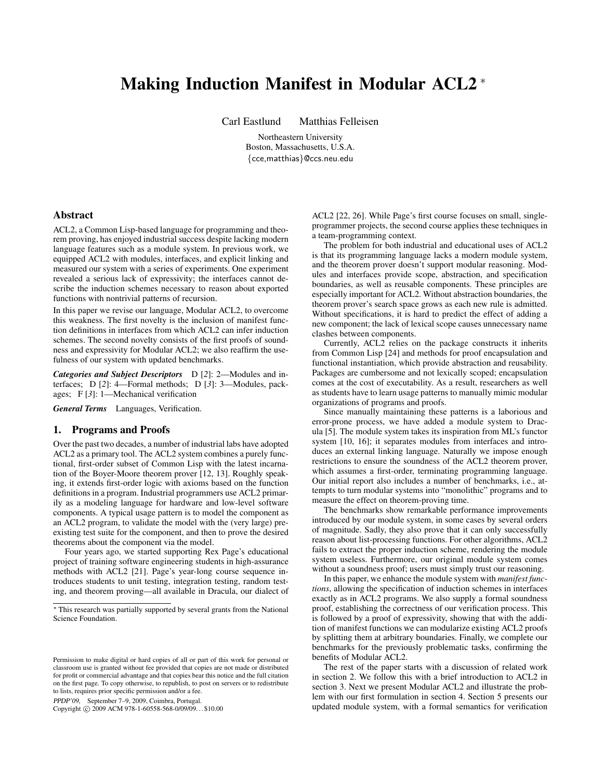# Making Induction Manifest in Modular ACL2 <sup>∗</sup>

Carl Eastlund Matthias Felleisen

Northeastern University Boston, Massachusetts, U.S.A. {cce,matthias}@ccs.neu.edu

## Abstract

ACL2, a Common Lisp-based language for programming and theorem proving, has enjoyed industrial success despite lacking modern language features such as a module system. In previous work, we equipped ACL2 with modules, interfaces, and explicit linking and measured our system with a series of experiments. One experiment revealed a serious lack of expressivity; the interfaces cannot describe the induction schemes necessary to reason about exported functions with nontrivial patterns of recursion.

In this paper we revise our language, Modular ACL2, to overcome this weakness. The first novelty is the inclusion of manifest function definitions in interfaces from which ACL2 can infer induction schemes. The second novelty consists of the first proofs of soundness and expressivity for Modular ACL2; we also reaffirm the usefulness of our system with updated benchmarks.

*Categories and Subject Descriptors* D [*2*]: 2—Modules and interfaces; D [*2*]: 4—Formal methods; D [*3*]: 3—Modules, packages; F [*3*]: 1—Mechanical verification

*General Terms* Languages, Verification.

## 1. Programs and Proofs

Over the past two decades, a number of industrial labs have adopted ACL2 as a primary tool. The ACL2 system combines a purely functional, first-order subset of Common Lisp with the latest incarnation of the Boyer-Moore theorem prover [12, 13]. Roughly speaking, it extends first-order logic with axioms based on the function definitions in a program. Industrial programmers use ACL2 primarily as a modeling language for hardware and low-level software components. A typical usage pattern is to model the component as an ACL2 program, to validate the model with the (very large) preexisting test suite for the component, and then to prove the desired theorems about the component via the model.

Four years ago, we started supporting Rex Page's educational project of training software engineering students in high-assurance methods with ACL2 [21]. Page's year-long course sequence introduces students to unit testing, integration testing, random testing, and theorem proving—all available in Dracula, our dialect of

PPDP'09, September 7–9, 2009, Coimbra, Portugal.

Copyright © 2009 ACM 978-1-60558-568-0/09/09... \$10.00

ACL2 [22, 26]. While Page's first course focuses on small, singleprogrammer projects, the second course applies these techniques in a team-programming context.

The problem for both industrial and educational uses of ACL2 is that its programming language lacks a modern module system, and the theorem prover doesn't support modular reasoning. Modules and interfaces provide scope, abstraction, and specification boundaries, as well as reusable components. These principles are especially important for ACL2. Without abstraction boundaries, the theorem prover's search space grows as each new rule is admitted. Without specifications, it is hard to predict the effect of adding a new component; the lack of lexical scope causes unnecessary name clashes between components.

Currently, ACL2 relies on the package constructs it inherits from Common Lisp [24] and methods for proof encapsulation and functional instantiation, which provide abstraction and reusability. Packages are cumbersome and not lexically scoped; encapsulation comes at the cost of executability. As a result, researchers as well as students have to learn usage patterns to manually mimic modular organizations of programs and proofs.

Since manually maintaining these patterns is a laborious and error-prone process, we have added a module system to Dracula [5]. The module system takes its inspiration from ML's functor system [10, 16]; it separates modules from interfaces and introduces an external linking language. Naturally we impose enough restrictions to ensure the soundness of the ACL2 theorem prover, which assumes a first-order, terminating programming language. Our initial report also includes a number of benchmarks, i.e., attempts to turn modular systems into "monolithic" programs and to measure the effect on theorem-proving time.

The benchmarks show remarkable performance improvements introduced by our module system, in some cases by several orders of magnitude. Sadly, they also prove that it can only successfully reason about list-processing functions. For other algorithms, ACL2 fails to extract the proper induction scheme, rendering the module system useless. Furthermore, our original module system comes without a soundness proof; users must simply trust our reasoning.

In this paper, we enhance the module system with *manifest functions*, allowing the specification of induction schemes in interfaces exactly as in ACL2 programs. We also supply a formal soundness proof, establishing the correctness of our verification process. This is followed by a proof of expressivity, showing that with the addition of manifest functions we can modularize existing ACL2 proofs by splitting them at arbitrary boundaries. Finally, we complete our benchmarks for the previously problematic tasks, confirming the benefits of Modular ACL2.

The rest of the paper starts with a discussion of related work in section 2. We follow this with a brief introduction to ACL2 in section 3. Next we present Modular ACL2 and illustrate the problem with our first formulation in section 4. Section 5 presents our updated module system, with a formal semantics for verification

<sup>∗</sup> This research was partially supported by several grants from the National Science Foundation.

Permission to make digital or hard copies of all or part of this work for personal or classroom use is granted without fee provided that copies are not made or distributed for profit or commercial advantage and that copies bear this notice and the full citation on the first page. To copy otherwise, to republish, to post on servers or to redistribute to lists, requires prior specific permission and/or a fee.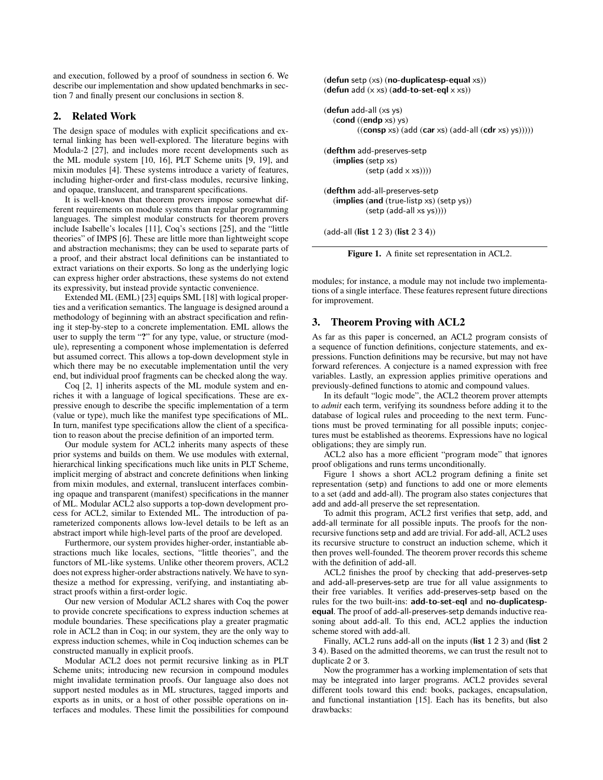and execution, followed by a proof of soundness in section 6. We describe our implementation and show updated benchmarks in section 7 and finally present our conclusions in section 8.

# 2. Related Work

The design space of modules with explicit specifications and external linking has been well-explored. The literature begins with Modula-2 [27], and includes more recent developments such as the ML module system [10, 16], PLT Scheme units [9, 19], and mixin modules [4]. These systems introduce a variety of features, including higher-order and first-class modules, recursive linking, and opaque, translucent, and transparent specifications.

It is well-known that theorem provers impose somewhat different requirements on module systems than regular programming languages. The simplest modular constructs for theorem provers include Isabelle's locales [11], Coq's sections [25], and the "little theories" of IMPS [6]. These are little more than lightweight scope and abstraction mechanisms; they can be used to separate parts of a proof, and their abstract local definitions can be instantiated to extract variations on their exports. So long as the underlying logic can express higher order abstractions, these systems do not extend its expressivity, but instead provide syntactic convenience.

Extended ML (EML) [23] equips SML [18] with logical properties and a verification semantics. The language is designed around a methodology of beginning with an abstract specification and refining it step-by-step to a concrete implementation. EML allows the user to supply the term "?" for any type, value, or structure (module), representing a component whose implementation is deferred but assumed correct. This allows a top-down development style in which there may be no executable implementation until the very end, but individual proof fragments can be checked along the way.

Coq [2, 1] inherits aspects of the ML module system and enriches it with a language of logical specifications. These are expressive enough to describe the specific implementation of a term (value or type), much like the manifest type specifications of ML. In turn, manifest type specifications allow the client of a specification to reason about the precise definition of an imported term.

Our module system for ACL2 inherits many aspects of these prior systems and builds on them. We use modules with external, hierarchical linking specifications much like units in PLT Scheme, implicit merging of abstract and concrete definitions when linking from mixin modules, and external, translucent interfaces combining opaque and transparent (manifest) specifications in the manner of ML. Modular ACL2 also supports a top-down development process for ACL2, similar to Extended ML. The introduction of parameterized components allows low-level details to be left as an abstract import while high-level parts of the proof are developed.

Furthermore, our system provides higher-order, instantiable abstractions much like locales, sections, "little theories", and the functors of ML-like systems. Unlike other theorem provers, ACL2 does not express higher-order abstractions natively. We have to synthesize a method for expressing, verifying, and instantiating abstract proofs within a first-order logic.

Our new version of Modular ACL2 shares with Coq the power to provide concrete specifications to express induction schemes at module boundaries. These specifications play a greater pragmatic role in ACL2 than in Coq; in our system, they are the only way to express induction schemes, while in Coq induction schemes can be constructed manually in explicit proofs.

Modular ACL2 does not permit recursive linking as in PLT Scheme units; introducing new recursion in compound modules might invalidate termination proofs. Our language also does not support nested modules as in ML structures, tagged imports and exports as in units, or a host of other possible operations on interfaces and modules. These limit the possibilities for compound (defun setp (xs) (no-duplicatesp-equal xs)) (defun add  $(x \times s)$  (add-to-set-eql  $x \times s$ ))

```
(defun add-all (xs ys)
   (cond ((endp xs) ys)
           ((\text{consp xs}) (\text{add (car xs)} (\text{add-all} (\text{cdr xs}) \text{ys})))))(defthm add-preserves-setp
   (implies (setp xs)
             (setp (add \times xs))))(defthm add-all-preserves-setp
   (implies (and (true-listp xs) (setp ys))
             (setp (add-all xs ys))))
```
(add-all (list 1 2 3) (list 2 3 4))



modules; for instance, a module may not include two implementations of a single interface. These features represent future directions for improvement.

# 3. Theorem Proving with ACL2

As far as this paper is concerned, an ACL2 program consists of a sequence of function definitions, conjecture statements, and expressions. Function definitions may be recursive, but may not have forward references. A conjecture is a named expression with free variables. Lastly, an expression applies primitive operations and previously-defined functions to atomic and compound values.

In its default "logic mode", the ACL2 theorem prover attempts to *admit* each term, verifying its soundness before adding it to the database of logical rules and proceeding to the next term. Functions must be proved terminating for all possible inputs; conjectures must be established as theorems. Expressions have no logical obligations; they are simply run.

ACL2 also has a more efficient "program mode" that ignores proof obligations and runs terms unconditionally.

Figure 1 shows a short ACL2 program defining a finite set representation (setp) and functions to add one or more elements to a set (add and add-all). The program also states conjectures that add and add-all preserve the set representation.

To admit this program, ACL2 first verifies that setp, add, and add-all terminate for all possible inputs. The proofs for the nonrecursive functions setp and add are trivial. For add-all, ACL2 uses its recursive structure to construct an induction scheme, which it then proves well-founded. The theorem prover records this scheme with the definition of add-all.

ACL2 finishes the proof by checking that add-preserves-setp and add-all-preserves-setp are true for all value assignments to their free variables. It verifies add-preserves-setp based on the rules for the two built-ins: add-to-set-eql and no-duplicatespequal. The proof of add-all-preserves-setp demands inductive reasoning about add-all. To this end, ACL2 applies the induction scheme stored with add-all.

Finally, ACL2 runs add-all on the inputs (list 1 2 3) and (list 2 3 4). Based on the admitted theorems, we can trust the result not to duplicate 2 or 3.

Now the programmer has a working implementation of sets that may be integrated into larger programs. ACL2 provides several different tools toward this end: books, packages, encapsulation, and functional instantiation [15]. Each has its benefits, but also drawbacks: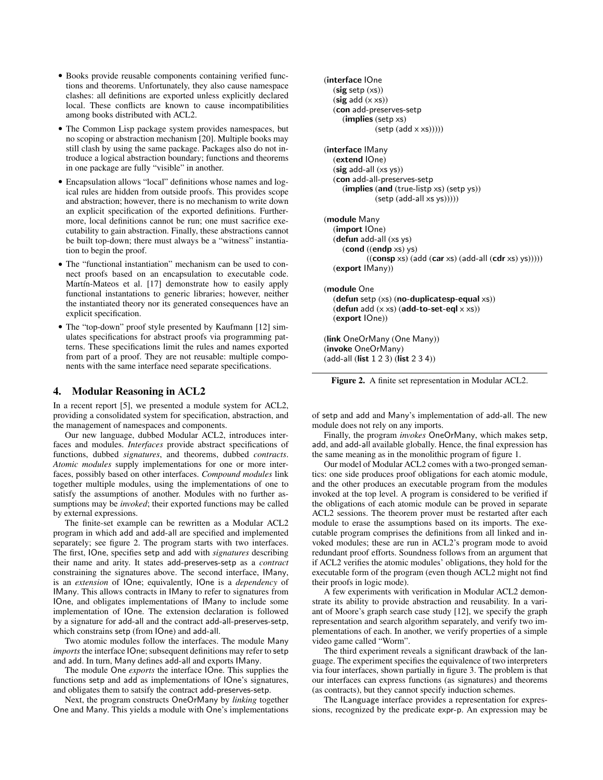- Books provide reusable components containing verified functions and theorems. Unfortunately, they also cause namespace clashes: all definitions are exported unless explicitly declared local. These conflicts are known to cause incompatibilities among books distributed with ACL2.
- The Common Lisp package system provides namespaces, but no scoping or abstraction mechanism [20]. Multiple books may still clash by using the same package. Packages also do not introduce a logical abstraction boundary; functions and theorems in one package are fully "visible" in another.
- Encapsulation allows "local" definitions whose names and logical rules are hidden from outside proofs. This provides scope and abstraction; however, there is no mechanism to write down an explicit specification of the exported definitions. Furthermore, local definitions cannot be run; one must sacrifice executability to gain abstraction. Finally, these abstractions cannot be built top-down; there must always be a "witness" instantiation to begin the proof.
- The "functional instantiation" mechanism can be used to connect proofs based on an encapsulation to executable code. Martín-Mateos et al. [17] demonstrate how to easily apply functional instantations to generic libraries; however, neither the instantiated theory nor its generated consequences have an explicit specification.
- The "top-down" proof style presented by Kaufmann [12] simulates specifications for abstract proofs via programming patterns. These specifications limit the rules and names exported from part of a proof. They are not reusable: multiple components with the same interface need separate specifications.

## 4. Modular Reasoning in ACL2

In a recent report [5], we presented a module system for ACL2, providing a consolidated system for specification, abstraction, and the management of namespaces and components.

Our new language, dubbed Modular ACL2, introduces interfaces and modules. *Interfaces* provide abstract specifications of functions, dubbed *signatures*, and theorems, dubbed *contracts*. *Atomic modules* supply implementations for one or more interfaces, possibly based on other interfaces. *Compound modules* link together multiple modules, using the implementations of one to satisfy the assumptions of another. Modules with no further assumptions may be *invoked*; their exported functions may be called by external expressions.

The finite-set example can be rewritten as a Modular ACL2 program in which add and add-all are specified and implemented separately; see figure 2. The program starts with two interfaces. The first, IOne, specifies setp and add with *signatures* describing their name and arity. It states add-preserves-setp as a *contract* constraining the signatures above. The second interface, IMany, is an *extension* of IOne; equivalently, IOne is a *dependency* of IMany. This allows contracts in IMany to refer to signatures from IOne, and obligates implementations of IMany to include some implementation of IOne. The extension declaration is followed by a signature for add-all and the contract add-all-preserves-setp, which constrains setp (from IOne) and add-all.

Two atomic modules follow the interfaces. The module Many *imports* the interface IOne; subsequent definitions may refer to setp and add. In turn, Many defines add-all and exports IMany.

The module One *exports* the interface IOne. This supplies the functions setp and add as implementations of IOne's signatures, and obligates them to satsify the contract add-preserves-setp.

Next, the program constructs OneOrMany by *linking* together One and Many. This yields a module with One's implementations

```
(interface IOne
  (sig setp(xs))(sig add (x xs))(con add-preserves-setp
     (implies (setp xs)
               (setp (add x xs))))(interface IMany
  (extend IOne)
  (sig add-all(xs ys))(con add-all-preserves-setp
     (implies (and (true-listp xs) (setp ys))
              (setp (add-all xs ys)))))
(module Many
  (import IOne)
  (defun add-all (xs ys)
     (cond ((endp xs) ys)
            ((\text{consp xs}) (\text{add} (\text{car xs}) (\text{add-all} (\text{cdr xs}) \text{ys}))))(export IMany))
(module One
  (defun setp (xs) (no-duplicatesp-equal xs))
  (defun add (x \times s) (add-to-set-eql x \times s))
  (export IOne))
(link OneOrMany (One Many))
(invoke OneOrMany)
(add-all (list 1 2 3) (list 2 3 4))
```
Figure 2. A finite set representation in Modular ACL2.

of setp and add and Many's implementation of add-all. The new module does not rely on any imports.

Finally, the program *invokes* OneOrMany, which makes setp, add, and add-all available globally. Hence, the final expression has the same meaning as in the monolithic program of figure 1.

Our model of Modular ACL2 comes with a two-pronged semantics: one side produces proof obligations for each atomic module, and the other produces an executable program from the modules invoked at the top level. A program is considered to be verified if the obligations of each atomic module can be proved in separate ACL2 sessions. The theorem prover must be restarted after each module to erase the assumptions based on its imports. The executable program comprises the definitions from all linked and invoked modules; these are run in ACL2's program mode to avoid redundant proof efforts. Soundness follows from an argument that if ACL2 verifies the atomic modules' obligations, they hold for the executable form of the program (even though ACL2 might not find their proofs in logic mode).

A few experiments with verification in Modular ACL2 demonstrate its ability to provide abstraction and reusability. In a variant of Moore's graph search case study [12], we specify the graph representation and search algorithm separately, and verify two implementations of each. In another, we verify properties of a simple video game called "Worm".

The third experiment reveals a significant drawback of the language. The experiment specifies the equivalence of two interpreters via four interfaces, shown partially in figure 3. The problem is that our interfaces can express functions (as signatures) and theorems (as contracts), but they cannot specify induction schemes.

The ILanguage interface provides a representation for expressions, recognized by the predicate expr-p. An expression may be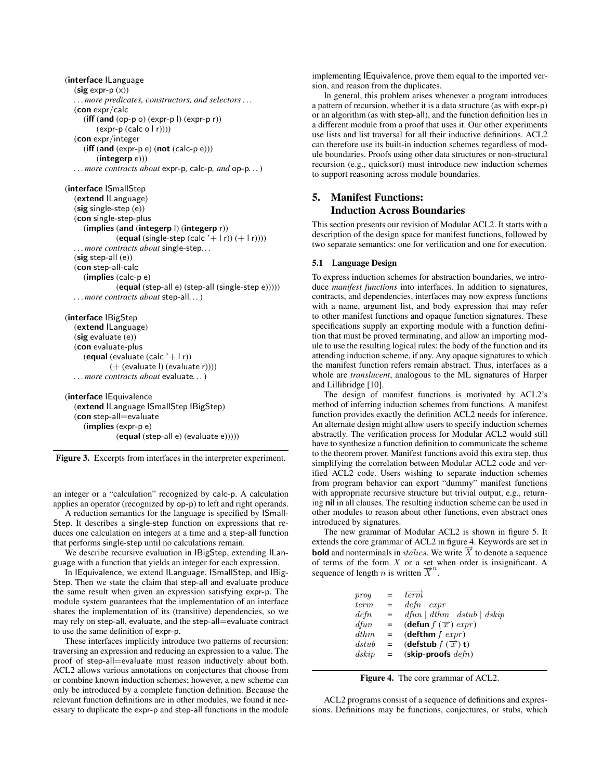```
(interface ILanguage
  (sig expr-p(x)). . . more predicates, constructors, and selectors . . .
  (con expr/calc
     (iff (and (op-p o) (expr-p l) (expr-p r))(exp-p (calc o | r))))(con expr/integer
     (iff (and (expr-p e) (not (calc-p e)))(integerp e)))
  . . . more contracts about expr-p, calc-p, and op-p. . .)
```
(interface ISmallStep (extend ILanguage) (sig single-step (e)) (con single-step-plus (implies (and (integerp l) (integerp r)) (equal (single-step (calc '+ l r))  $(+1r)$ ))) *. . . more contracts about* single-step*. . .* (sig step-all (e)) (con step-all-calc (implies (calc-p e) (equal (step-all e) (step-all (single-step e))))) *. . . more contracts about* step-all*. . .*)

```
(interface IBigStep
  (extend ILanguage)
  (sig evaluate (e))
  (con evaluate-plus
     (equal (evaluate (calc '+1r))
            (+ (evaluate l) (evaluate r))))
  . . . more contracts about evaluate. . .)
```

```
(interface IEquivalence
  (extend ILanguage ISmallStep IBigStep)
  (con step-all=evaluate
     (implies (expr-p e)
              (equal (step-all e) (evaluate e)))))
```
Figure 3. Excerpts from interfaces in the interpreter experiment.

an integer or a "calculation" recognized by calc-p. A calculation applies an operator (recognized by op-p) to left and right operands.

A reduction semantics for the language is specified by ISmall-Step. It describes a single-step function on expressions that reduces one calculation on integers at a time and a step-all function that performs single-step until no calculations remain.

We describe recursive evaluation in IBigStep, extending ILanguage with a function that yields an integer for each expression.

In IEquivalence, we extend ILanguage, ISmallStep, and IBig-Step. Then we state the claim that step-all and evaluate produce the same result when given an expression satisfying expr-p. The module system guarantees that the implementation of an interface shares the implementation of its (transitive) dependencies, so we may rely on step-all, evaluate, and the step-all=evaluate contract to use the same definition of expr-p.

These interfaces implicitly introduce two patterns of recursion: traversing an expression and reducing an expression to a value. The proof of step-all=evaluate must reason inductively about both. ACL2 allows various annotations on conjectures that choose from or combine known induction schemes; however, a new scheme can only be introduced by a complete function definition. Because the relevant function definitions are in other modules, we found it necessary to duplicate the expr-p and step-all functions in the module implementing IEquivalence, prove them equal to the imported version, and reason from the duplicates.

In general, this problem arises whenever a program introduces a pattern of recursion, whether it is a data structure (as with expr-p) or an algorithm (as with step-all), and the function definition lies in a different module from a proof that uses it. Our other experiments use lists and list traversal for all their inductive definitions. ACL2 can therefore use its built-in induction schemes regardless of module boundaries. Proofs using other data structures or non-structural recursion (e.g., quicksort) must introduce new induction schemes to support reasoning across module boundaries.

# 5. Manifest Functions: Induction Across Boundaries

This section presents our revision of Modular ACL2. It starts with a description of the design space for manifest functions, followed by two separate semantics: one for verification and one for execution.

## 5.1 Language Design

To express induction schemes for abstraction boundaries, we introduce *manifest functions* into interfaces. In addition to signatures, contracts, and dependencies, interfaces may now express functions with a name, argument list, and body expression that may refer to other manifest functions and opaque function signatures. These specifications supply an exporting module with a function definition that must be proved terminating, and allow an importing module to use the resulting logical rules: the body of the function and its attending induction scheme, if any. Any opaque signatures to which the manifest function refers remain abstract. Thus, interfaces as a whole are *translucent*, analogous to the ML signatures of Harper and Lillibridge [10].

The design of manifest functions is motivated by ACL2's method of inferring induction schemes from functions. A manifest function provides exactly the definition ACL2 needs for inference. An alternate design might allow users to specify induction schemes abstractly. The verification process for Modular ACL2 would still have to synthesize a function definition to communicate the scheme to the theorem prover. Manifest functions avoid this extra step, thus simplifying the correlation between Modular ACL2 code and verified ACL2 code. Users wishing to separate induction schemes from program behavior can export "dummy" manifest functions with appropriate recursive structure but trivial output, e.g., returning nil in all clauses. The resulting induction scheme can be used in other modules to reason about other functions, even abstract ones introduced by signatures.

The new grammar of Modular ACL2 is shown in figure 5. It extends the core grammar of ACL2 in figure 4. Keywords are set in **bold** and nonterminals in *italics*. We write  $\overrightarrow{X}$  to denote a sequence of terms of the form  $X$  or a set when order is insignificant. A sequence of length *n* is written  $\overline{X}^n$ .

| proq             | $=$ | term.                                  |
|------------------|-----|----------------------------------------|
| <i>term</i>      | $=$ | $defn \mid expr$                       |
| $\det$           | $=$ | $dfun \mid dthm \mid dstub \mid dskip$ |
| $d$ fun          | $=$ | (defun $f(\vec{x})$ expr)              |
| d <sub>thm</sub> | $=$ | (defthm $f$ expr)                      |
| $\,dx\nub$       | $=$ | (defstub $f(\vec{x})$ ) t)             |
| $\,dskip$        | $=$ | (skip-proofs $defn)$                   |

Figure 4. The core grammar of ACL2.

ACL2 programs consist of a sequence of definitions and expressions. Definitions may be functions, conjectures, or stubs, which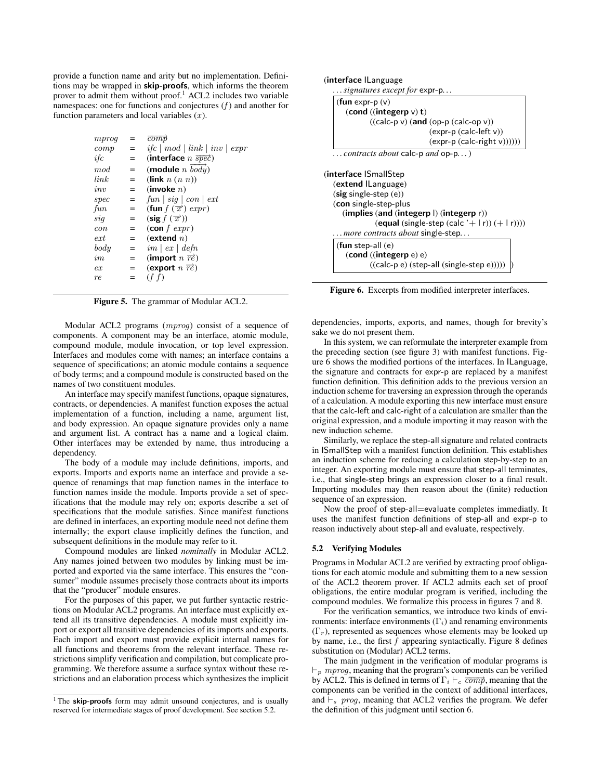provide a function name and arity but no implementation. Definitions may be wrapped in skip-proofs, which informs the theorem prover to admit them without proof.<sup>1</sup> ACL2 includes two variable namespaces: one for functions and conjectures  $(f)$  and another for function parameters and local variables  $(x)$ .

| $if c \mid mod \mid link \mid inv \mid expr$ |
|----------------------------------------------|
|                                              |
|                                              |
|                                              |
|                                              |
|                                              |
|                                              |
|                                              |
|                                              |
|                                              |
|                                              |
|                                              |
|                                              |
|                                              |
|                                              |
|                                              |
|                                              |

Figure 5. The grammar of Modular ACL2.

Modular ACL2 programs (mprog) consist of a sequence of components. A component may be an interface, atomic module, compound module, module invocation, or top level expression. Interfaces and modules come with names; an interface contains a sequence of specifications; an atomic module contains a sequence of body terms; and a compound module is constructed based on the names of two constituent modules.

An interface may specify manifest functions, opaque signatures, contracts, or dependencies. A manifest function exposes the actual implementation of a function, including a name, argument list, and body expression. An opaque signature provides only a name and argument list. A contract has a name and a logical claim. Other interfaces may be extended by name, thus introducing a dependency.

The body of a module may include definitions, imports, and exports. Imports and exports name an interface and provide a sequence of renamings that map function names in the interface to function names inside the module. Imports provide a set of specifications that the module may rely on; exports describe a set of specifications that the module satisfies. Since manifest functions are defined in interfaces, an exporting module need not define them internally; the export clause implicitly defines the function, and subsequent definitions in the module may refer to it.

Compound modules are linked *nominally* in Modular ACL2. Any names joined between two modules by linking must be imported and exported via the same interface. This ensures the "consumer" module assumes precisely those contracts about its imports that the "producer" module ensures.

For the purposes of this paper, we put further syntactic restrictions on Modular ACL2 programs. An interface must explicitly extend all its transitive dependencies. A module must explicitly import or export all transitive dependencies of its imports and exports. Each import and export must provide explicit internal names for all functions and theorems from the relevant interface. These restrictions simplify verification and compilation, but complicate programming. We therefore assume a surface syntax without these restrictions and an elaboration process which synthesizes the implicit (interface ILanguage

*. . . signatures except for* expr-p*. . .*

```
(fun expr-p (v)
   (cond ((integerp v) t)
          ((calc-p v) (and (op-p (calc-op v))(expr-p (calc-left v))
                            (expr-p (calc-right v))))))
. . . contracts about calc-p and op-p. . .)
```

```
(interface ISmallStep
  (extend ILanguage)
  (sig single-step (e))
  (con single-step-plus
     (implies (and (integerp l) (integerp r))
               (equal (single-step (calc '+ l r)) (+1r))))
    . . . more contracts about single-step. . .
   (fun step-all (e)
      (cond ((integerp e) e)
             ((calc-p e) (step-all (single-step e))))) )
```
Figure 6. Excerpts from modified interpreter interfaces.

dependencies, imports, exports, and names, though for brevity's sake we do not present them.

In this system, we can reformulate the interpreter example from the preceding section (see figure 3) with manifest functions. Figure 6 shows the modified portions of the interfaces. In ILanguage, the signature and contracts for expr-p are replaced by a manifest function definition. This definition adds to the previous version an induction scheme for traversing an expression through the operands of a calculation. A module exporting this new interface must ensure that the calc-left and calc-right of a calculation are smaller than the original expression, and a module importing it may reason with the new induction scheme.

Similarly, we replace the step-all signature and related contracts in ISmallStep with a manifest function definition. This establishes an induction scheme for reducing a calculation step-by-step to an integer. An exporting module must ensure that step-all terminates, i.e., that single-step brings an expression closer to a final result. Importing modules may then reason about the (finite) reduction sequence of an expression.

Now the proof of step-all=evaluate completes immediatly. It uses the manifest function definitions of step-all and expr-p to reason inductively about step-all and evaluate, respectively.

#### 5.2 Verifying Modules

Programs in Modular ACL2 are verified by extracting proof obligations for each atomic module and submitting them to a new session of the ACL2 theorem prover. If ACL2 admits each set of proof obligations, the entire modular program is verified, including the compound modules. We formalize this process in figures 7 and 8.

For the verification semantics, we introduce two kinds of environments: interface environments  $(\Gamma_i)$  and renaming environments  $(\Gamma_r)$ , represented as sequences whose elements may be looked up by name, i.e., the first f appearing syntactically. Figure 8 defines substitution on (Modular) ACL2 terms.

The main judgment in the verification of modular programs is  $\vdash_p mprog$ , meaning that the program's components can be verified by ACL2. This is defined in terms of  $\Gamma_i \vdash_c \overline{comp}$ , meaning that the components can be verified in the context of additional interfaces, and  $\vdash_s$  prog, meaning that ACL2 verifies the program. We defer the definition of this judgment until section 6.

<sup>&</sup>lt;sup>1</sup> The skip-proofs form may admit unsound conjectures, and is usually reserved for intermediate stages of proof development. See section 5.2.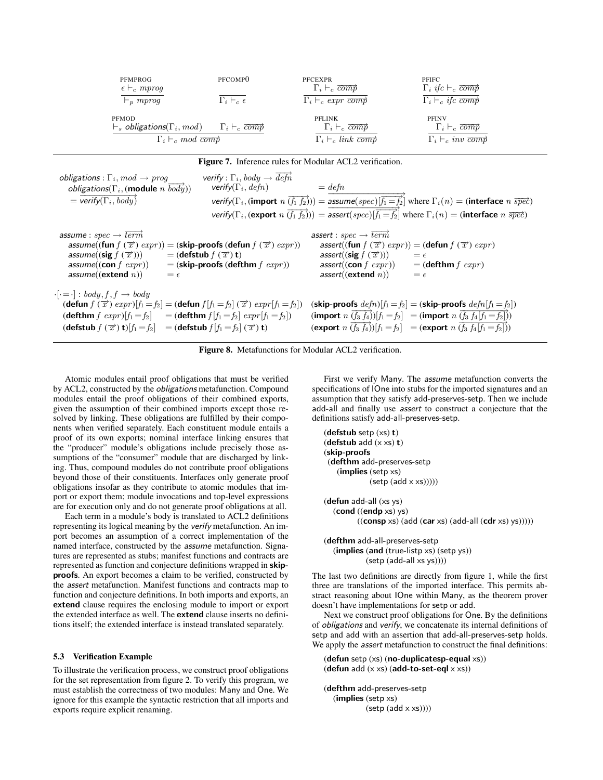| PEMPROG<br>$\epsilon \vdash_c mprog$<br>$\vdash_p mprog$                      | PFCOMP <sub>0</sub><br>$\Gamma_i \vdash_c \epsilon$ | <b>PFCEXPR</b><br>$\Gamma_i \vdash_c \overline{comp}$<br>$\Gamma_i \vdash_c \exp r \overline{comp}$ | <b>PFIFC</b><br>$\Gamma_i$ if $c \vdash_c \overline{comp}$<br>$\Gamma_i \vdash_c \textit{ifc } \overrightarrow{comp}$ |
|-------------------------------------------------------------------------------|-----------------------------------------------------|-----------------------------------------------------------------------------------------------------|-----------------------------------------------------------------------------------------------------------------------|
| <b>PFMOD</b>                                                                  |                                                     | <b>PFLINK</b>                                                                                       | <b>PFINV</b>                                                                                                          |
| $\vdash_s$ obligations( $\Gamma_i$ , mod) $\Gamma_i \vdash_c \overline{comp}$ |                                                     | $\Gamma_i \vdash_c \overline{comp}$                                                                 | $\Gamma_i \vdash_c \overline{comp}$                                                                                   |
| $\Gamma_i \vdash_c mod \overline{comp}$                                       |                                                     | $\Gamma_i \vdash_c link \overline{comp}$                                                            | $\Gamma_i \vdash_c inv \overline{comp}$                                                                               |

| obligations : $\Gamma_i$ , $mod \rightarrow prog$<br><i>obligations</i> ( $\Gamma_i$ , (module <i>n</i> $\overrightarrow{body}$ ))<br>$=$ verify( $\Gamma_i$ , body) | verify : $\Gamma_i$ , body $\rightarrow$ defn<br>verify( $\Gamma_i$ , defn)                                                                                                                                                                                                                            | $=$ defn<br>verify( $\Gamma_i$ , (import $n(\overrightarrow{f_1 f_2}))$ ) = assume(spec)[ $\overrightarrow{f_1 = f_2}$ ] where $\Gamma_i(n)$ = (interface $n \overrightarrow{spec}$ )<br>verify( $\Gamma_i$ , (export $n(\overrightarrow{f_1 f_2}))$ ) = assert(spec) $ \overrightarrow{f_1} = \overrightarrow{f_2} $ where $\Gamma_i(n)$ = (interface $n \overrightarrow{spec}$ ) |  |
|----------------------------------------------------------------------------------------------------------------------------------------------------------------------|--------------------------------------------------------------------------------------------------------------------------------------------------------------------------------------------------------------------------------------------------------------------------------------------------------|------------------------------------------------------------------------------------------------------------------------------------------------------------------------------------------------------------------------------------------------------------------------------------------------------------------------------------------------------------------------------------|--|
| assume : $spec \rightarrow \overrightarrow{term}$<br>assume((sig $f(\vec{x}))$ )<br>assume((con $f$ expr))<br>assume((extend $n$ ))                                  | assume((fun $f(\vec{x})$ expr)) = (skip-proofs (defun $f(\vec{x})$ expr))<br>$=$ (defstub $f(\vec{x})$ ) t)<br>$=$ (skip-proofs (defthm $f\,expr)$ )<br>$=$ $\epsilon$                                                                                                                                 | assert : $spec \rightarrow \overrightarrow{term}$<br><i>assert</i> ((fun $f(\vec{x})$ expr)) = (defun $f(\vec{x})$ expr)<br>assert((sig $f(\overrightarrow{x}))$ )<br>$=$ $\epsilon$<br>$assert((\textbf{con} f \; expr))$<br>$=$ (defthm $f$ expr)<br>assert((extend n))<br>$=$ $\epsilon$                                                                                        |  |
| $\cdot \cdot = \cdot  : body, f, f \rightarrow body$                                                                                                                 | (defun $f(\vec{x})$ expr) $[f_1=f_2]$ = (defun $f[f_1=f_2](\vec{x})$ expr $[f_1=f_2]$ )<br><b>(defthm</b> $f \, expr$ )[ $f_1 = f_2$ ] = <b>(defthm</b> $f[f_1 = f_2] \, expr[f_1 = f_2]$ )<br>$(\text{defstub } f(\vec{x}) \text{ t})[f_1 = f_2] = (\text{defstub } f[f_1 = f_2](\vec{x}) \text{ t})$ | (skip-proofs $defn[f_1=f_2] = (skip-1)$ proofs $defn[f_1=f_2]$ )<br>(import $n(\overrightarrow{f_3 f_4})[f_1 = f_2] = ($ import $n(\overrightarrow{f_3 f_4[f_1 = f_2]}))$<br>(export $n(\overrightarrow{f_3 f_4})[f_1 = f_2] = ($ export $n(\overrightarrow{f_3 f_4[f_1 = f_2]}))$                                                                                                 |  |

Figure 8. Metafunctions for Modular ACL2 verification.

Atomic modules entail proof obligations that must be verified by ACL2, constructed by the obligations metafunction. Compound modules entail the proof obligations of their combined exports, given the assumption of their combined imports except those resolved by linking. These obligations are fulfilled by their components when verified separately. Each constituent module entails a proof of its own exports; nominal interface linking ensures that the "producer" module's obligations include precisely those assumptions of the "consumer" module that are discharged by linking. Thus, compound modules do not contribute proof obligations beyond those of their constituents. Interfaces only generate proof obligations insofar as they contribute to atomic modules that import or export them; module invocations and top-level expressions are for execution only and do not generate proof obligations at all.

Each term in a module's body is translated to ACL2 definitions representing its logical meaning by the verify metafunction. An import becomes an assumption of a correct implementation of the named interface, constructed by the assume metafunction. Signatures are represented as stubs; manifest functions and contracts are represented as function and conjecture definitions wrapped in skipproofs. An export becomes a claim to be verified, constructed by the assert metafunction. Manifest functions and contracts map to function and conjecture definitions. In both imports and exports, an extend clause requires the enclosing module to import or export the extended interface as well. The extend clause inserts no definitions itself; the extended interface is instead translated separately.

#### 5.3 Verification Example

To illustrate the verification process, we construct proof obligations for the set representation from figure 2. To verify this program, we must establish the correctness of two modules: Many and One. We ignore for this example the syntactic restriction that all imports and exports require explicit renaming.

First we verify Many. The assume metafunction converts the specifications of IOne into stubs for the imported signatures and an assumption that they satisfy add-preserves-setp. Then we include add-all and finally use assert to construct a conjecture that the definitions satisfy add-all-preserves-setp.

```
(defstub setp (xs) t)
(defstub add (x \times s) t)
(skip-proofs
 (defthm add-preserves-setp
    (implies (setp xs)
               (setp (add \times xs))))(defun add-all (xs ys)
   (cond ((endp xs) vs)((\text{consp xs}) (\text{add (car xs)} (\text{add-all } (\text{cdr xs}) ys))))))
```
(defthm add-all-preserves-setp (implies (and (true-listp xs) (setp ys)) (setp (add-all xs ys))))

The last two definitions are directly from figure 1, while the first three are translations of the imported interface. This permits abstract reasoning about IOne within Many, as the theorem prover doesn't have implementations for setp or add.

Next we construct proof obligations for One. By the definitions of obligations and verify, we concatenate its internal definitions of setp and add with an assertion that add-all-preserves-setp holds. We apply the *assert* metafunction to construct the final definitions:

```
(defun setp (xs) (no-duplicatesp-equal xs))
(defun add (x \times s) (add-to-set-eql x \times s))
```

```
(defthm add-preserves-setp
  (implies (setp xs)
            (setp (add \times xs))))
```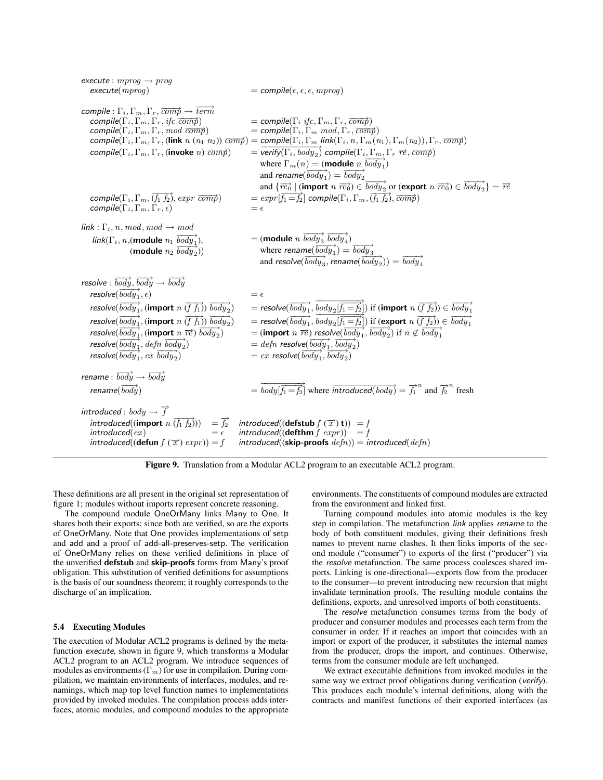| execute : $mprog \rightarrow prog$<br>execute(mprog)                                                                                                                                                                                                                                                                                                                                                                                                                                                                                                                                                              | $=$ compile( $\epsilon, \epsilon, \epsilon, mprog$ )                                                                                                                                                                                                                                                                                                                                                                                                                                                                                                                                                                                                                                                                                                                                                                                                                                                                                                                                                                                           |
|-------------------------------------------------------------------------------------------------------------------------------------------------------------------------------------------------------------------------------------------------------------------------------------------------------------------------------------------------------------------------------------------------------------------------------------------------------------------------------------------------------------------------------------------------------------------------------------------------------------------|------------------------------------------------------------------------------------------------------------------------------------------------------------------------------------------------------------------------------------------------------------------------------------------------------------------------------------------------------------------------------------------------------------------------------------------------------------------------------------------------------------------------------------------------------------------------------------------------------------------------------------------------------------------------------------------------------------------------------------------------------------------------------------------------------------------------------------------------------------------------------------------------------------------------------------------------------------------------------------------------------------------------------------------------|
| compile : $\Gamma_i, \Gamma_m, \Gamma_r, \overline{comp} \rightarrow \overline{term}$<br>compile( $\Gamma_i, \Gamma_m, \Gamma_r$ , if $c \overline{comp}$ )<br>compile( $\Gamma_i, \Gamma_m, \Gamma_r, \text{mod } \overline{\text{comp}}$ )<br>compile( $\Gamma_i, \Gamma_m, \Gamma_r$ , (invoke n) $\overrightarrow{comp}$ )<br>compile( $\Gamma_i$ , $\Gamma_m$ , $\overline{(f_1\ f_2)}$ , expr $\overline{comp}$ )<br>compile( $\Gamma_i, \Gamma_m, \Gamma_r, \epsilon$ )                                                                                                                                    | $=$ compile( $\Gamma_i$ ifc, $\Gamma_m$ , $\Gamma_r$ , $\overline{comp}$ )<br>$=$ compile( $\Gamma_i$ , $\Gamma_m$ mod, $\Gamma_r$ , $\overrightarrow{comp}$ )<br>compile( $\Gamma_i, \Gamma_m, \Gamma_r$ , (link $n (n_1 n_2)$ ) $\overline{comp}$ ) = compile( $\Gamma_i, \Gamma_m$ link( $\Gamma_i, n, \Gamma_m(n_1), \Gamma_m(n_2)$ ), $\Gamma_r, \overline{comp}$ )<br>$=\overline{\text{verify}(\Gamma_i,\text{body}_2)}$ compile( $\Gamma_i,\Gamma_m,\Gamma_r$ $\overline{re},\overline{\text{comp}}$ )<br>where $\Gamma_m(n) = ($ <b>module</b> $n \overrightarrow{body_1}$<br>and rename( $\overrightarrow{body_1}$ ) = $\overrightarrow{body_2}$<br>and $\{\overrightarrow{re_0} \mid (\text{import } n \overrightarrow{re_0}) \in \overrightarrow{body_2} \text{ or } (\text{export } n \overrightarrow{re_0}) \in \overrightarrow{body_2}\} = \overrightarrow{re}$<br>$= expr[\overrightarrow{f_1} = \overrightarrow{f_2}]$ compile( $\Gamma_i, \Gamma_m, \overrightarrow{(f_1, f_2)}, \overrightarrow{comp})$ )<br>$=$ $\epsilon$ |
| $link: \Gamma_i$ , n, mod, mod $\rightarrow$ mod<br>link( $\Gamma_i$ , n, (module $n_1$ $\overrightarrow{body_1}$ ),<br>(module $n_2$ body <sub>2</sub> ))                                                                                                                                                                                                                                                                                                                                                                                                                                                        | $=$ (module <i>n</i> $\overrightarrow{body_3}$ $\overrightarrow{body_4}$ )<br>where rename( $\overrightarrow{body_1}$ ) = $\overrightarrow{body_3}$<br>and resolve( $\overrightarrow{body_3}$ , rename( $\overrightarrow{body_2}$ )) = $\overrightarrow{body_4}$                                                                                                                                                                                                                                                                                                                                                                                                                                                                                                                                                                                                                                                                                                                                                                               |
| resolve: $\overrightarrow{body}, \overrightarrow{body} \rightarrow \overrightarrow{body}$<br>resolve( $\overrightarrow{body_1}, \epsilon$ )<br>resolve( $\overrightarrow{body_1}$ , (import $n(\overrightarrow{f_1})$ ) $\overrightarrow{body_2}$ )<br>resolve( $\overrightarrow{body_1}$ , (import $n(\overrightarrow{f_1})$ ) $\overrightarrow{body_2}$ )<br>resolve( $\overrightarrow{body_1}$ , (import $n \overrightarrow{re}$ ) $\overrightarrow{body_2}$ )<br>resolve( $\overrightarrow{body_1}$ , defn $\overrightarrow{body_2}$ )<br>resolve( $\overrightarrow{body_1}$ , ex $\overrightarrow{body_2}$ ) | $=$ $\epsilon$<br>= resolve( $\overrightarrow{body_1}, \overrightarrow{body_2}$ $\overrightarrow{f_1 = f_2}$ ) if (import $n \overrightarrow{(f f_2)}$ ) $\in \overrightarrow{body_1}$<br>= resolve( $\overrightarrow{body_1}$ , $body_2[\overrightarrow{f_1} = f_2']$ ) if (export $n(\overrightarrow{f_1f_2}) \in \overrightarrow{body_1}$<br>= (import n $\overrightarrow{re}$ ) resolve( $\overrightarrow{body_1}, \overrightarrow{body_2}$ ) if $n \notin \overrightarrow{body_1}$<br>$=$ defn resolve( $\overrightarrow{body_1}, \overrightarrow{body_2}$ )<br>$= ex$ resolve( $\overrightarrow{body_1}, \overrightarrow{body_2}$ )                                                                                                                                                                                                                                                                                                                                                                                                      |
| rename: $\overrightarrow{body} \rightarrow \overrightarrow{body}$<br>rename( $\overrightarrow{body}$ )                                                                                                                                                                                                                                                                                                                                                                                                                                                                                                            | $=\overrightarrow{body}$ $\overrightarrow{f_1}$ where $\overrightarrow{introduced(body)} = \overrightarrow{f_1}^n$ and $\overrightarrow{f_2}^n$ fresh                                                                                                                                                                                                                                                                                                                                                                                                                                                                                                                                                                                                                                                                                                                                                                                                                                                                                          |
| introduced : body $\rightarrow \overrightarrow{f}$<br>introduced((import $n \overrightarrow{(f_1, f_2)}$ )) = $\overrightarrow{f_2}$<br>introduced(ex)<br>$=\epsilon$<br>introduced(( <b>defun</b> $f(\vec{x})$ expr)) = f                                                                                                                                                                                                                                                                                                                                                                                        | $introduced((\text{defstub } f(\overline{x})) t)) = f$<br>introduced(( <b>defthm</b> $f$ expr)) = $f$<br>$introduced((\textbf{skip-proofs} \textit{ \textit{def}} n)) = introduced(\textit{def} n)$                                                                                                                                                                                                                                                                                                                                                                                                                                                                                                                                                                                                                                                                                                                                                                                                                                            |
|                                                                                                                                                                                                                                                                                                                                                                                                                                                                                                                                                                                                                   |                                                                                                                                                                                                                                                                                                                                                                                                                                                                                                                                                                                                                                                                                                                                                                                                                                                                                                                                                                                                                                                |

Figure 9. Translation from a Modular ACL2 program to an executable ACL2 program.

These definitions are all present in the original set representation of figure 1; modules without imports represent concrete reasoning.

The compound module OneOrMany links Many to One. It shares both their exports; since both are verified, so are the exports of OneOrMany. Note that One provides implementations of setp and add and a proof of add-all-preserves-setp. The verification of OneOrMany relies on these verified definitions in place of the unverified defstub and skip-proofs forms from Many's proof obligation. This substitution of verified definitions for assumptions is the basis of our soundness theorem; it roughly corresponds to the discharge of an implication.

# 5.4 Executing Modules

The execution of Modular ACL2 programs is defined by the metafunction execute, shown in figure 9, which transforms a Modular ACL2 program to an ACL2 program. We introduce sequences of modules as environments  $(\Gamma_m)$  for use in compilation. During compilation, we maintain environments of interfaces, modules, and renamings, which map top level function names to implementations provided by invoked modules. The compilation process adds interfaces, atomic modules, and compound modules to the appropriate

environments. The constituents of compound modules are extracted from the environment and linked first.

Turning compound modules into atomic modules is the key step in compilation. The metafunction link applies rename to the body of both constituent modules, giving their definitions fresh names to prevent name clashes. It then links imports of the second module ("consumer") to exports of the first ("producer") via the resolve metafunction. The same process coalesces shared imports. Linking is one-directional—exports flow from the producer to the consumer—to prevent introducing new recursion that might invalidate termination proofs. The resulting module contains the definitions, exports, and unresolved imports of both constituents.

The resolve metafunction consumes terms from the body of producer and consumer modules and processes each term from the consumer in order. If it reaches an import that coincides with an import or export of the producer, it substitutes the internal names from the producer, drops the import, and continues. Otherwise, terms from the consumer module are left unchanged.

We extract executable definitions from invoked modules in the same way we extract proof obligations during verification (verify). This produces each module's internal definitions, along with the contracts and manifest functions of their exported interfaces (as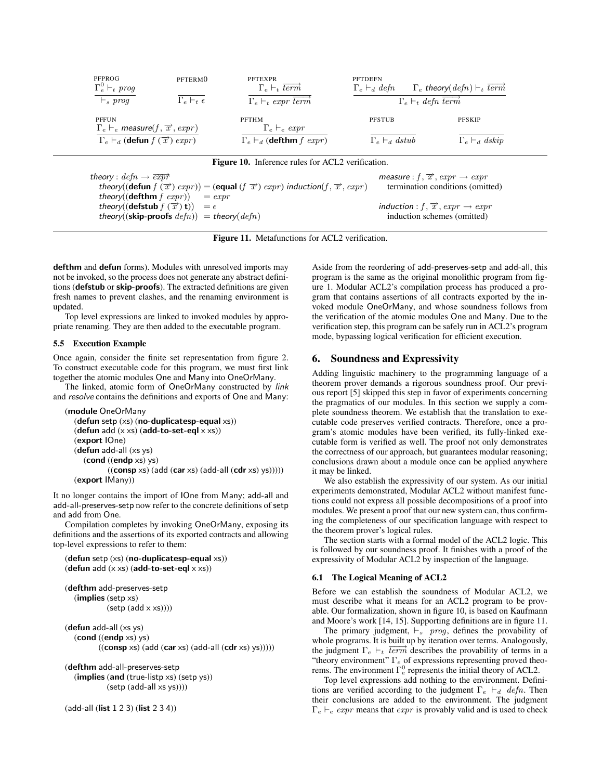| PFPROG<br>$\Gamma_e^0 \vdash_t \textit{prog}$<br>$\vdash_s \textit{prog}$   | PFTERM <sub>0</sub><br>$\Gamma_e \vdash_t \epsilon$           | <b>PFTEXPR</b><br>$\Gamma_e \vdash_t \overrightarrow{term}$<br>$\Gamma_e \vdash_t \exp r \overrightarrow{term}$ | <b>PFTDEFN</b>           | $\Gamma_e \vdash_d defn \qquad \Gamma_e$ theory(defn) $\vdash_t \overrightarrow{term}$<br>$\Gamma_e \vdash_t \text{defn } \overrightarrow{term}$ |  |
|-----------------------------------------------------------------------------|---------------------------------------------------------------|-----------------------------------------------------------------------------------------------------------------|--------------------------|--------------------------------------------------------------------------------------------------------------------------------------------------|--|
| <b>PFFUN</b><br>$\Gamma_e \vdash_e$ measure(f, $\overrightarrow{x}$ , expr) |                                                               | PFTHM<br>$\Gamma_e \vdash_e \exp r$                                                                             | <b>PFSTUB</b>            | <b>PFSKIP</b>                                                                                                                                    |  |
| $\Gamma_e \vdash_d (\mathbf{defun} f(\overrightarrow{x}) \text{ } expr)$    |                                                               | $\Gamma_e \vdash_d (\mathbf{defthm} f \; expr)$                                                                 | $\Gamma_e \vdash_d \phi$ | $\Gamma_e \vdash_d dskip$                                                                                                                        |  |
|                                                                             |                                                               | <b>Figure 10.</b> Inference rules for ACL2 verification.                                                        |                          |                                                                                                                                                  |  |
| theory : $defn \rightarrow \overrightarrow{expr}$                           |                                                               |                                                                                                                 |                          | measure : $f, \overrightarrow{x}$ , $expr \rightarrow expr$                                                                                      |  |
|                                                                             |                                                               | theory((defun $f(\vec{x})$ expr)) = (equal ( $f(\vec{x})$ ) expr) induction( $f(\vec{x})$ , expr)               |                          | termination conditions (omitted)                                                                                                                 |  |
|                                                                             | theory(( <b>defthm</b> $f$ $expr$ )) = $expr$                 |                                                                                                                 |                          |                                                                                                                                                  |  |
|                                                                             | theory(( <b>defstub</b> $f(\vec{x})$ <b>t</b> )) = $\epsilon$ |                                                                                                                 |                          | induction : $f, \overrightarrow{x}$ , $expr \rightarrow expr$                                                                                    |  |
|                                                                             | theory((skip-proofs $defn)$ ) = theory( $defn$ )              |                                                                                                                 |                          | induction schemes (omitted)                                                                                                                      |  |

Figure 11. Metafunctions for ACL2 verification.

defthm and defun forms). Modules with unresolved imports may not be invoked, so the process does not generate any abstract definitions (defstub or skip-proofs). The extracted definitions are given fresh names to prevent clashes, and the renaming environment is updated.

Top level expressions are linked to invoked modules by appropriate renaming. They are then added to the executable program.

## 5.5 Execution Example

Once again, consider the finite set representation from figure 2. To construct executable code for this program, we must first link together the atomic modules One and Many into OneOrMany.

The linked, atomic form of OneOrMany constructed by link and resolve contains the definitions and exports of One and Many:

```
(module OneOrMany
   (defun setp (xs) (no-duplicatesp-equal xs))
   (defun add (x \times s) (add-to-set-eql x \times s))
   (export IOne)
   (defun add-all (xs ys)
      (cond ((endp xs) ys)
             ((\text{consp xs}) (\text{add (car xs)} (\text{add-all } (\text{cdr xs}) ys))))))(export IMany))
```
It no longer contains the import of IOne from Many; add-all and add-all-preserves-setp now refer to the concrete definitions of setp and add from One.

Compilation completes by invoking OneOrMany, exposing its definitions and the assertions of its exported contracts and allowing top-level expressions to refer to them:

```
(defun setp (xs) (no-duplicatesp-equal xs))
(defun add (x \times s) (add-to-set-eql x \times s))
```

```
(defthm add-preserves-setp
  (implies (setp xs)
           (setp (add x xs)))
```

```
(defun add-all (xs ys)
     (cond ((endp xs) ys)
                 ((\mathbf{consp}\times s)(\mathbf{add}\times(\mathbf{car}\times s)(\mathbf{add}\cdot\mathbf{all})(\mathbf{cdr}\times s)(\mathbf{ys}))))
```
(defthm add-all-preserves-setp (implies (and (true-listp xs) (setp ys)) (setp (add-all xs ys))))

(add-all (list 1 2 3) (list 2 3 4))

Aside from the reordering of add-preserves-setp and add-all, this program is the same as the original monolithic program from figure 1. Modular ACL2's compilation process has produced a program that contains assertions of all contracts exported by the invoked module OneOrMany, and whose soundness follows from the verification of the atomic modules One and Many. Due to the verification step, this program can be safely run in ACL2's program mode, bypassing logical verification for efficient execution.

# 6. Soundness and Expressivity

Adding linguistic machinery to the programming language of a theorem prover demands a rigorous soundness proof. Our previous report [5] skipped this step in favor of experiments concerning the pragmatics of our modules. In this section we supply a complete soundness theorem. We establish that the translation to executable code preserves verified contracts. Therefore, once a program's atomic modules have been verified, its fully-linked executable form is verified as well. The proof not only demonstrates the correctness of our approach, but guarantees modular reasoning; conclusions drawn about a module once can be applied anywhere it may be linked.

We also establish the expressivity of our system. As our initial experiments demonstrated, Modular ACL2 without manifest functions could not express all possible decompositions of a proof into modules. We present a proof that our new system can, thus confirming the completeness of our specification language with respect to the theorem prover's logical rules.

The section starts with a formal model of the ACL2 logic. This is followed by our soundness proof. It finishes with a proof of the expressivity of Modular ACL2 by inspection of the language.

## 6.1 The Logical Meaning of ACL2

Before we can establish the soundness of Modular ACL2, we must describe what it means for an ACL2 program to be provable. Our formalization, shown in figure 10, is based on Kaufmann and Moore's work [14, 15]. Supporting definitions are in figure 11.

The primary judgment,  $\vdash_s$  prog, defines the provability of whole programs. It is built up by iteration over terms. Analogously, whole programs. It is been apply increased for terms. That exposity, the judgment  $\Gamma_e \vdash_t \overline{term}$  describes the provability of terms in a "theory environment"  $\Gamma_e$  of expressions representing proved theorems. The environment  $\Gamma_e^0$  represents the initial theory of ACL2.

Top level expressions add nothing to the environment. Definitions are verified according to the judgment  $\Gamma_e \vdash_d \text{def}n$ . Then their conclusions are added to the environment. The judgment  $\Gamma_e \vdash_e \text{expr}$  means that  $\exp r$  is provably valid and is used to check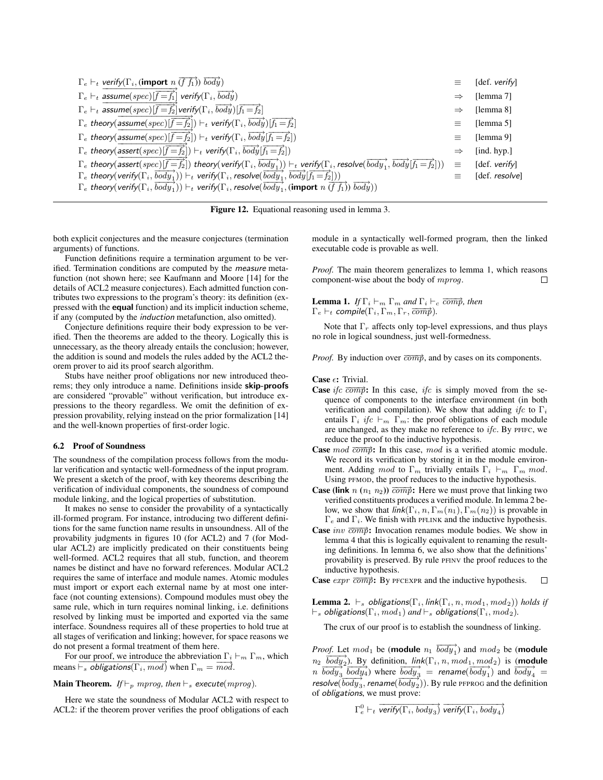| $\Gamma_e \vdash_t$ verify( $\Gamma_i$ , (import $n \overrightarrow{(f f_1)}$ ) $\overrightarrow{body}$ )                                                                                                                                                             |               | [def. verify]  |
|-----------------------------------------------------------------------------------------------------------------------------------------------------------------------------------------------------------------------------------------------------------------------|---------------|----------------|
| $\Gamma_e \vdash_t \text{assume}(spec)$ $\left  \overrightarrow{f=f_1} \right $ verify $\left( \Gamma_i, \overrightarrow{body} \right)$                                                                                                                               | $\Rightarrow$ | [lemma 7]      |
| $\Gamma_e \vdash_t \mathsf{assume}(spec)[\widehat{f=f_2}]\mathsf{verify}(\Gamma_i,\overrightarrow{body})[\overrightarrow{f_1=f_2}]$                                                                                                                                   | $\Rightarrow$ | [lemma 8]      |
| $\Gamma_e$ theory(assume(spec)[ $\vec{f} = \vec{f}_2$ ]) $\vdash_t$ verify( $\Gamma_i$ , $\overrightarrow{body}$ )[ $\vec{f}_1 = \vec{f}_2$ ]                                                                                                                         |               | [lemma 5]      |
| $\Gamma_e$ theory(assume(spec)[ $\widehat{f=f_2}$ ]) $\vdash_t$ verify( $\Gamma_i$ , $\overrightarrow{body}$ [ $\overrightarrow{f_1}$ = $\overrightarrow{f_2}$ ])                                                                                                     | ≡             | [lemma 9]      |
| $\Gamma_e$ theory(assert(spec)[ $\overrightarrow{f=f_2}$ ]) $\vdash_t$ verify( $\Gamma_i$ , $\overrightarrow{body}$ [ $\overrightarrow{f_1}$ = $\overrightarrow{f_2}$ ])                                                                                              | $\Rightarrow$ | [ind. $hyp.]$  |
| $\Gamma_e$ theory(assert(spcc)[ $\overrightarrow{f=f_2}$ ]) theory(verify( $\Gamma_i$ , $\overrightarrow{body_1}$ )) $\vdash_t$ verify( $\Gamma_i$ , resolve( $\overrightarrow{body_1}$ , $\overrightarrow{body_1}$ $\overrightarrow{f_1}$ $\overrightarrow{f_2}$ ])) | $\equiv$      | [def. verify]  |
| $\Gamma_e$ theory(verify( $\Gamma_i$ , $\overrightarrow{body_1}$ )) $\vdash_t$ verify( $\Gamma_i$ , resolve( $\overrightarrow{body_1}$ , $\overrightarrow{body_1}$ $\overrightarrow{f_1}$ $\overrightarrow{f_2}$ )))                                                  |               | [def. resolve] |
| $\Gamma_e$ theory(verify( $\Gamma_i$ , $\overrightarrow{body_1}$ )) $\vdash_t$ verify( $\Gamma_i$ , resolve( $\overrightarrow{body_1}$ , (import $n \overrightarrow{(f f_1)}$ ) $\overrightarrow{body})$ )                                                            |               |                |

Figure 12. Equational reasoning used in lemma 3.

both explicit conjectures and the measure conjectures (termination arguments) of functions.

Function definitions require a termination argument to be verified. Termination conditions are computed by the measure metafunction (not shown here; see Kaufmann and Moore [14] for the details of ACL2 measure conjectures). Each admitted function contributes two expressions to the program's theory: its definition (expressed with the equal function) and its implicit induction scheme, if any (computed by the induction metafunction, also omitted).

Conjecture definitions require their body expression to be verified. Then the theorems are added to the theory. Logically this is unnecessary, as the theory already entails the conclusion; however, the addition is sound and models the rules added by the ACL2 theorem prover to aid its proof search algorithm.

Stubs have neither proof obligations nor new introduced theorems; they only introduce a name. Definitions inside skip-proofs are considered "provable" without verification, but introduce expressions to the theory regardless. We omit the definition of expression provability, relying instead on the prior formalization [14] and the well-known properties of first-order logic.

#### 6.2 Proof of Soundness

The soundness of the compilation process follows from the modular verification and syntactic well-formedness of the input program. We present a sketch of the proof, with key theorems describing the verification of individual components, the soundness of compound module linking, and the logical properties of substitution.

It makes no sense to consider the provability of a syntactically ill-formed program. For instance, introducing two different definitions for the same function name results in unsoundness. All of the provability judgments in figures 10 (for ACL2) and 7 (for Modular ACL2) are implicitly predicated on their constituents being well-formed. ACL2 requires that all stub, function, and theorem names be distinct and have no forward references. Modular ACL2 requires the same of interface and module names. Atomic modules must import or export each external name by at most one interface (not counting extensions). Compound modules must obey the same rule, which in turn requires nominal linking, i.e. definitions resolved by linking must be imported and exported via the same interface. Soundness requires all of these properties to hold true at all stages of verification and linking; however, for space reasons we do not present a formal treatment of them here.

For our proof, we introduce the abbreviation  $\Gamma_i \vdash_m \Gamma_m$ , which means  $\overline{\vdash_s}$  obligations( $\Gamma_i$ , mod) when  $\Gamma_m = \overline{mod}$ .

## **Main Theorem.** *If*  $\vdash_p mprog$ *, then*  $\vdash_s$  *execute*(*mprog*).

Here we state the soundness of Modular ACL2 with respect to ACL2: if the theorem prover verifies the proof obligations of each

module in a syntactically well-formed program, then the linked executable code is provable as well.

*Proof.* The main theorem generalizes to lemma 1, which reasons component-wise about the body of mprog. П

**Lemma 1.** *If*  $\Gamma_i \vdash_m \Gamma_m$  *and*  $\Gamma_i \vdash_c \overline{comp}$ *, then*  $\Gamma_e \vdash_t \text{compile}(\Gamma_i, \Gamma_m, \Gamma_r, \overline{comp})$ .

Note that  $\Gamma_r$  affects only top-level expressions, and thus plays no role in logical soundness, just well-formedness.

*Proof.* By induction over  $\overrightarrow{comp}$ , and by cases on its components.

#### **Case**  $\epsilon$ **:** Trivial.

- **Case** ifc  $\overline{comp}$ : In this case, ifc is simply moved from the sequence of components to the interface environment (in both verification and compilation). We show that adding ifc to  $\Gamma_i$ entails  $\Gamma_i$  ifc  $\vdash_m \Gamma_m$ : the proof obligations of each module are unchanged, as they make no reference to  $ifc$ . By PFIFC, we reduce the proof to the inductive hypothesis.
- **Case** mod  $\overrightarrow{comp}$ : In this case, mod is a verified atomic module. We record its verification by storing it in the module environment. Adding mod to  $\Gamma_m$  trivially entails  $\Gamma_i \vdash_m \Gamma_m \text{ mod.}$ Using PFMOD, the proof reduces to the inductive hypothesis.
- **Case (link**  $n (n_1 n_2)$ )  $\overline{comp}$ : Here we must prove that linking two verified constituents produces a verified module. In lemma 2 below, we show that  $link(\Gamma_i, n, \Gamma_m(n_1), \Gamma_m(n_2))$  is provable in  $\Gamma_e$  and  $\Gamma_i$ . We finish with PFLINK and the inductive hypothesis.
- **Case** inv  $\overrightarrow{comp}$ : Invocation renames module bodies. We show in lemma 4 that this is logically equivalent to renaming the resulting definitions. In lemma 6, we also show that the definitions' provability is preserved. By rule PFINV the proof reduces to the inductive hypothesis.

**Case**  $expr \overrightarrow{comp}$ : By PFCEXPR and the inductive hypothesis. □

**Lemma 2.**  $\vdash_s$  obligations( $\Gamma_i$ , link( $\Gamma_i$ , n, mod<sub>1</sub>, mod<sub>2</sub>)) *holds if*  $\vdash_s$  obligations( $\Gamma_i, mod_1$ ) and  $\vdash_s$  obligations( $\Gamma_i, mod_2$ ).

The crux of our proof is to establish the soundness of linking.

*Proof.* Let  $mod_1$  be (module  $n_1$   $\overrightarrow{body_1}$ ) and  $mod_2$  be (module  $n_2$   $\overline{body}_2$ ). By definition,  $link(\Gamma_i, n, mod_1, mod_2)$  is (**module**  $n \frac{body_3}{body_3}$   $\frac{L}{body_4}$ ) where  $\frac{body_3}{body_3}$  = rename( $\frac{body_1}{body_1}$ ) and  $\frac{body_4}{body_4}$  = resolve( $\overline{body}_3$ , rename( $\overline{body}_2$ )). By rule PFPROG and the definition of obligations, we must prove:

$$
\Gamma_e^0 \vdash_t \overrightarrow{\textit{verify}(\Gamma_i,\textit{body}_3)} \overrightarrow{\textit{verify}(\Gamma_i,\textit{body}_4)}
$$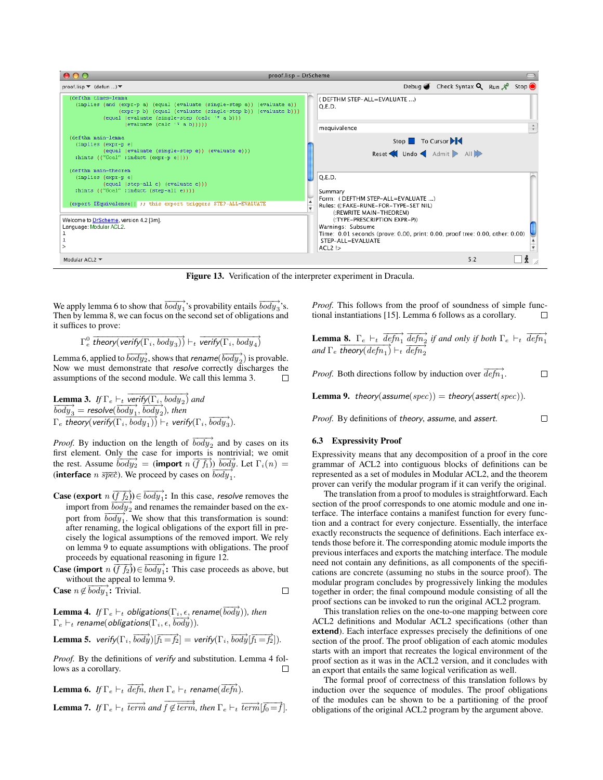

Figure 13. Verification of the interpreter experiment in Dracula.

We apply lemma 6 to show that  $\overrightarrow{body_1}$ 's provability entails  $\overrightarrow{body_3}$ 's. Then by lemma 8, we can focus on the second set of obligations and it suffices to prove:

$$
\Gamma_e^0 \; \overline{theory( \textit{verify}(\Gamma_i, \textit{body}_3))} \vdash_t \overline{\textit{verify}(\Gamma_i, \textit{body}_4)}
$$

Lemma 6, applied to  $\overrightarrow{body_2}$ , shows that *rename*( $\overrightarrow{body_2}$ ) is provable. Now we must demonstrate that resolve correctly discharges the assumptions of the second module. We call this lemma 3. П

**Lemma 3.** If  $\Gamma_e \vdash_t \overline{verify(\Gamma_i, body_2)}$  and  $\overrightarrow{body}_3$  = resolve( $\overrightarrow{body}_1$ ,  $\overrightarrow{body}_2$ ), then  $\Gamma_e$  theory(verify( $\Gamma_i$ , body<sub>1</sub>))</sub>  $\vdash_t$  verify( $\Gamma_i$ ,  $\overrightarrow{body_3}$ ).

*Proof.* By induction on the length of  $\overrightarrow{body_2}$  and by cases on its first element. Only the case for imports is nontrivial; we omit the rest. Assume  $\overline{body_2}$  = (**import**  $n(\overline{f_1})$ )  $\overline{body}$ . Let  $\Gamma_i(n)$  = (interface  $n \overline{spec}$ ). We proceed by cases on  $\overline{body}_1$ .

**Case** (export  $n(\overrightarrow{f_2}) \in \overrightarrow{body_1}$ : In this case, *resolve* removes the import from  $\overline{body_2}$  and renames the remainder based on the export from  $\overline{body}_1^2$ . We show that this transformation is sound: after renaming, the logical obligations of the export fill in precisely the logical assumptions of the removed import. We rely on lemma 9 to equate assumptions with obligations. The proof proceeds by equational reasoning in figure 12.

**Case (import**  $n(\overrightarrow{f_2}) \in \overrightarrow{body_1}$ : This case proceeds as above, but without the appeal to lemma 9.<br> **Se**  $n \notin \overrightarrow{body}_1$ : Trivial.

**Case** 
$$
n \notin \overrightarrow{body_1}
$$
: Trivial.

 ${\bf Lemma \ 4.} \ \ If \ \Gamma_e \vdash_t \ obligations(\Gamma_i, \epsilon, \textit{rename}(\ \overrightarrow{body})), \ then$  $\Gamma_e \vdash_t \text{ rename}(\text{obligations}(\Gamma_i, \epsilon, \overline{\text{body}})).$ 

**Lemma 5.** verify $(T_i, \overrightarrow{body} | \overrightarrow{f_1} = \overrightarrow{f_2})$  = verify $(T_i, \overrightarrow{body} | \overrightarrow{f_1} = \overrightarrow{f_2})$ ).

*Proof.* By the definitions of verify and substitution. Lemma 4 follows as a corollary. □

**Lemma 6.** If  $\Gamma_e \vdash_t \overrightarrow{defn}$ , then  $\Gamma_e \vdash_t$  rename( $\overrightarrow{defn}$ ). **Lemma 7.** If  $\Gamma_e \vdash_t \overrightarrow{term}$  and  $\overrightarrow{f \not\in \overrightarrow{term}}$ , then  $\Gamma_e \vdash_t \overrightarrow{term}$   $\overrightarrow{f_0 = f}$ . *Proof.* This follows from the proof of soundness of simple functional instantiations [15]. Lemma 6 follows as a corollary.  $\Box$ 

**Lemma 8.**  $\Gamma_e \vdash_t \overrightarrow{defn_1} \overrightarrow{defn_2}$  if and only if both  $\Gamma_e \vdash_t \overrightarrow{defn_1}$  $and \Gamma_e$   $\frac{\text{theory}(defn_1)}{\text{theory}(defn_1)}$   $\vdash_t \frac{\text{deg}n_2}{\text{deg}n_2}$ 

*Proof.* Both directions follow by induction over  $\overrightarrow{defn_1}$ .  $\Box$ 

**Lemma 9.** theory(assume(spec)) = theory(assert(spec)).

 $\Box$ *Proof.* By definitions of theory, assume, and assert.

#### 6.3 Expressivity Proof

Expressivity means that any decomposition of a proof in the core grammar of ACL2 into contiguous blocks of definitions can be represented as a set of modules in Modular ACL2, and the theorem prover can verify the modular program if it can verify the original.

The translation from a proof to modules is straightforward. Each section of the proof corresponds to one atomic module and one interface. The interface contains a manifest function for every function and a contract for every conjecture. Essentially, the interface exactly reconstructs the sequence of definitions. Each interface extends those before it. The corresponding atomic module imports the previous interfaces and exports the matching interface. The module need not contain any definitions, as all components of the specifications are concrete (assuming no stubs in the source proof). The modular program concludes by progressively linking the modules together in order; the final compound module consisting of all the proof sections can be invoked to run the original ACL2 program.

This translation relies on the one-to-one mapping between core ACL2 definitions and Modular ACL2 specifications (other than extend). Each interface expresses precisely the definitions of one section of the proof. The proof obligation of each atomic modules starts with an import that recreates the logical environment of the proof section as it was in the ACL2 version, and it concludes with an export that entails the same logical verification as well.

The formal proof of correctness of this translation follows by induction over the sequence of modules. The proof obligations of the modules can be shown to be a partitioning of the proof obligations of the original ACL2 program by the argument above.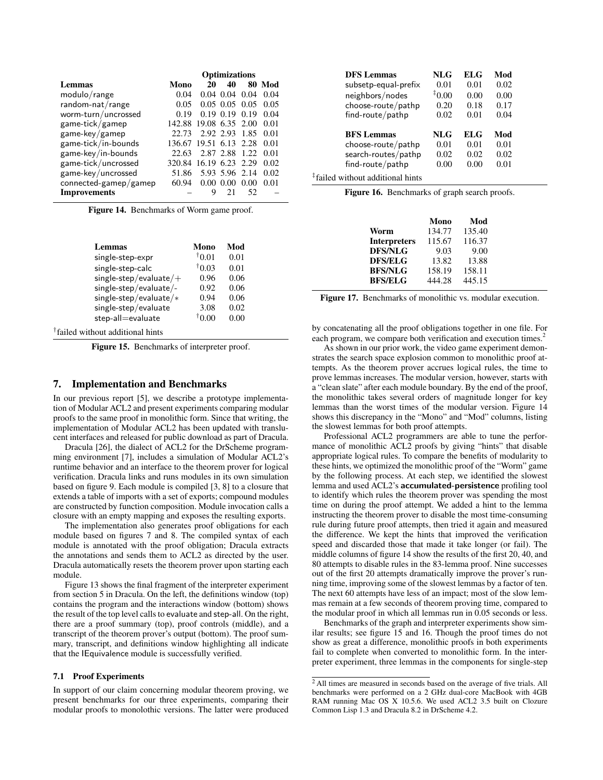|                          | <b>Optimizations</b>   |                |                  |      |        |
|--------------------------|------------------------|----------------|------------------|------|--------|
| Lemmas                   | Mono                   | 20             | 40               |      | 80 Mod |
| modulo/range             | 0.04                   |                | $0.04$ 0.04      | 0.04 | 0.04   |
| random-nat/range         | 0.05                   |                | $0.05$ 0.05 0.05 |      | 0.05   |
| worm-turn/uncrossed      | 0.19                   |                | $0.19$ $0.19$    | 0.19 | 0.04   |
| game-tick/gamep          | 142.88 19.08 6.35 2.00 |                |                  |      | 0.01   |
| game-key/gamep           | 22.73                  | 2.92 2.93 1.85 |                  |      | 0.01   |
| game-tick/in-bounds      | 136.67 19.51 6.13 2.28 |                |                  |      | 0.01   |
| game-key/in-bounds       | 22.63                  | 2.87 2.88 1.22 |                  |      | 0.01   |
| game-tick/uncrossed      | 320.84 16.19 6.23 2.29 |                |                  |      | 0.02   |
| game-key/uncrossed       | 51.86                  |                | 5.93 5.96 2.14   |      | 0.02   |
| $connected$ -gamep/gamep | 60.94                  |                | $0.00\ 0.00$     | 0.00 | 0.01   |
| <b>Improvements</b>      |                        | Q              | 21               | 52   |        |

Figure 14. Benchmarks of Worm game proof.

| Lemmas                   | Mono  | Mod  |
|--------------------------|-------|------|
| single-step-expr         | 10.01 | 0.01 |
| single-step-calc         | 10.03 | 0.01 |
| $single-step/evaluate/+$ | 0.96  | 0.06 |
| single-step/evaluate/-   | 0.92  | 0.06 |
| single-step/evaluate/*   | 0.94  | 0.06 |
| single-step/evaluate     | 3.08  | 0.02 |
| step-all=evaluate        | 0.00  | 0.00 |
|                          |       |      |

† failed without additional hints

Figure 15. Benchmarks of interpreter proof.

## 7. Implementation and Benchmarks

In our previous report [5], we describe a prototype implementation of Modular ACL2 and present experiments comparing modular proofs to the same proof in monolithic form. Since that writing, the implementation of Modular ACL2 has been updated with translucent interfaces and released for public download as part of Dracula.

Dracula [26], the dialect of ACL2 for the DrScheme programming environment [7], includes a simulation of Modular ACL2's runtime behavior and an interface to the theorem prover for logical verification. Dracula links and runs modules in its own simulation based on figure 9. Each module is compiled [3, 8] to a closure that extends a table of imports with a set of exports; compound modules are constructed by function composition. Module invocation calls a closure with an empty mapping and exposes the resulting exports.

The implementation also generates proof obligations for each module based on figures 7 and 8. The compiled syntax of each module is annotated with the proof obligation; Dracula extracts the annotations and sends them to ACL2 as directed by the user. Dracula automatically resets the theorem prover upon starting each module.

Figure 13 shows the final fragment of the interpreter experiment from section 5 in Dracula. On the left, the definitions window (top) contains the program and the interactions window (bottom) shows the result of the top level calls to evaluate and step-all. On the right, there are a proof summary (top), proof controls (middle), and a transcript of the theorem prover's output (bottom). The proof summary, transcript, and definitions window highlighting all indicate that the IEquivalence module is successfully verified.

## 7.1 Proof Experiments

In support of our claim concerning modular theorem proving, we present benchmarks for our three experiments, comparing their modular proofs to monolothic versions. The latter were produced

| <b>DFS</b> Lemmas    | NLG        | ELG  | Mod  |
|----------------------|------------|------|------|
| subsetp-equal-prefix | 0.01       | 0.01 | 0.02 |
| neighbors/nodes      | $0.00^{+}$ | 0.00 | 0.00 |
| choose-route/pathp   | 0.20       | 0.18 | 0.17 |
| find-route/pathp     | 0.02       | 0.01 | 0.04 |
|                      |            |      |      |
|                      |            |      |      |
| <b>BFS</b> Lemmas    | NLG        | ELG  | Mod  |
| choose-route/pathp   | 0.01       | 0.01 | 0.01 |
| search-routes/pathp  | 0.02       | 0.02 | 0.02 |
| find-route/pathp     | 0.00       | 0.00 | 0.01 |

| Figure 16. Benchmarks of graph search proofs. |  |  |
|-----------------------------------------------|--|--|
|                                               |  |  |

|                     | Mono   | Mod    |
|---------------------|--------|--------|
| Worm                | 134.77 | 135.40 |
| <b>Interpreters</b> | 115.67 | 116.37 |
| <b>DFS/NLG</b>      | 9.03   | 9.00   |
| <b>DFS/ELG</b>      | 13.82  | 13.88  |
| <b>BFS/NLG</b>      | 158.19 | 158.11 |
| <b>BFS/ELG</b>      | 444.28 | 445.15 |

Figure 17. Benchmarks of monolithic vs. modular execution.

by concatenating all the proof obligations together in one file. For each program, we compare both verification and execution times.<sup>2</sup>

As shown in our prior work, the video game experiment demonstrates the search space explosion common to monolithic proof attempts. As the theorem prover accrues logical rules, the time to prove lemmas increases. The modular version, however, starts with a "clean slate" after each module boundary. By the end of the proof, the monolithic takes several orders of magnitude longer for key lemmas than the worst times of the modular version. Figure 14 shows this discrepancy in the "Mono" and "Mod" columns, listing the slowest lemmas for both proof attempts.

Professional ACL2 programmers are able to tune the performance of monolithic ACL2 proofs by giving "hints" that disable appropriate logical rules. To compare the benefits of modularity to these hints, we optimized the monolithic proof of the "Worm" game by the following process. At each step, we identified the slowest lemma and used ACL2's accumulated-persistence profiling tool to identify which rules the theorem prover was spending the most time on during the proof attempt. We added a hint to the lemma instructing the theorem prover to disable the most time-consuming rule during future proof attempts, then tried it again and measured the difference. We kept the hints that improved the verification speed and discarded those that made it take longer (or fail). The middle columns of figure 14 show the results of the first 20, 40, and 80 attempts to disable rules in the 83-lemma proof. Nine successes out of the first 20 attempts dramatically improve the prover's running time, improving some of the slowest lemmas by a factor of ten. The next 60 attempts have less of an impact; most of the slow lemmas remain at a few seconds of theorem proving time, compared to the modular proof in which all lemmas run in 0.05 seconds or less.

Benchmarks of the graph and interpreter experiments show similar results; see figure 15 and 16. Though the proof times do not show as great a difference, monolithic proofs in both experiments fail to complete when converted to monolithic form. In the interpreter experiment, three lemmas in the components for single-step

<sup>2</sup> All times are measured in seconds based on the average of five trials. All benchmarks were performed on a 2 GHz dual-core MacBook with 4GB RAM running Mac OS X 10.5.6. We used ACL2 3.5 built on Clozure Common Lisp 1.3 and Dracula 8.2 in DrScheme 4.2.